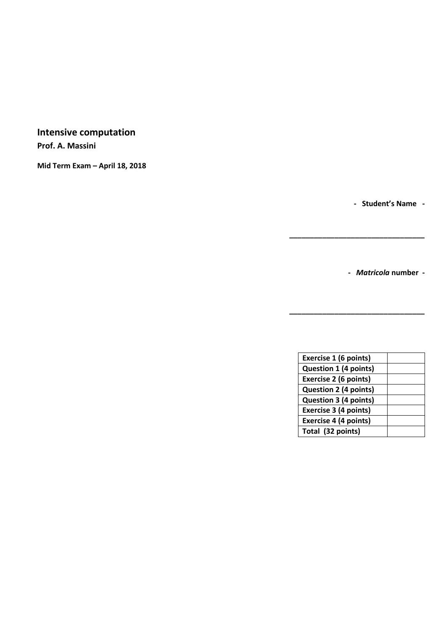# **Intensive computation**

**Prof. A. Massini**

**Mid Term Exam – April 18, 2018**

**- Student's Name -**

**-** *Matricola* **number -**

| Exercise 1 (6 points)        |  |
|------------------------------|--|
| <b>Question 1 (4 points)</b> |  |
| Exercise 2 (6 points)        |  |
| <b>Question 2 (4 points)</b> |  |
| Question 3 (4 points)        |  |
| Exercise 3 (4 points)        |  |
| <b>Exercise 4 (4 points)</b> |  |
| Total (32 points)            |  |

**\_\_\_\_\_\_\_\_\_\_\_\_\_\_\_\_\_\_\_\_\_\_\_\_\_\_\_\_\_\_\_\_\_**

**\_\_\_\_\_\_\_\_\_\_\_\_\_\_\_\_\_\_\_\_\_\_\_\_\_\_\_\_\_\_\_\_\_**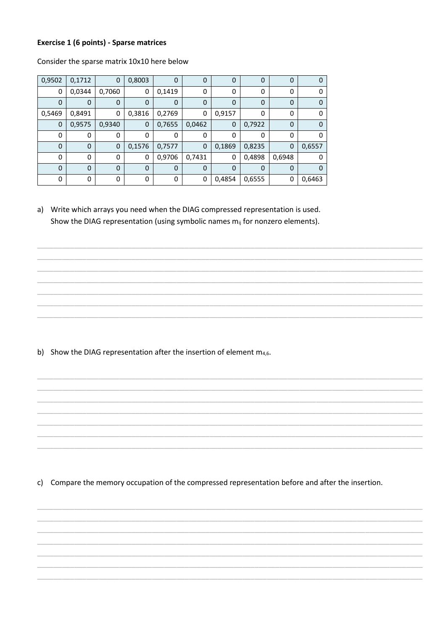#### **Exercise 1 (6 points) - Sparse matrices**

| 0,9502      | 0,1712      | 0           | 0,8003      | 0           | $\mathbf 0$ | 0           | 0      | 0      | 0      |
|-------------|-------------|-------------|-------------|-------------|-------------|-------------|--------|--------|--------|
| 0           | 0,0344      | 0,7060      | 0           | 0,1419      | 0           | 0           | 0      | 0      | 0      |
| 0           | 0           | 0           | 0           | $\mathbf 0$ | $\Omega$    | $\mathbf 0$ | 0      | 0      | 0      |
| 0,5469      | 0,8491      | 0           | 0,3816      | 0,2769      | 0           | 0,9157      | 0      | 0      | 0      |
| 0           | 0,9575      | 0,9340      | 0           | 0,7655      | 0,0462      | $\mathbf 0$ | 0,7922 | 0      | 0      |
| 0           | 0           | 0           | 0           | 0           | 0           | 0           | 0      | 0      | 0      |
| $\mathbf 0$ | $\mathbf 0$ | $\mathbf 0$ | 0,1576      | 0,7577      | $\mathbf 0$ | 0,1869      | 0,8235 | 0      | 0,6557 |
| 0           | 0           | 0           | 0           | 0,9706      | 0,7431      | 0           | 0,4898 | 0,6948 | 0      |
| $\mathbf 0$ | $\mathbf 0$ | $\mathbf 0$ | $\mathbf 0$ | $\mathbf 0$ | $\Omega$    | 0           | 0      | 0      | 0      |
| 0           | 0           | 0           | 0           | 0           | 0           | 0,4854      | 0,6555 | 0      | 0,6463 |

Consider the sparse matrix 10x10 here below

a) Write which arrays you need when the DIAG compressed representation is used. Show the DIAG representation (using symbolic names m<sub>ij</sub> for nonzero elements).

b) Show the DIAG representation after the insertion of element  $m_{4,6}$ .

c) Compare the memory occupation of the compressed representation before and after the insertion.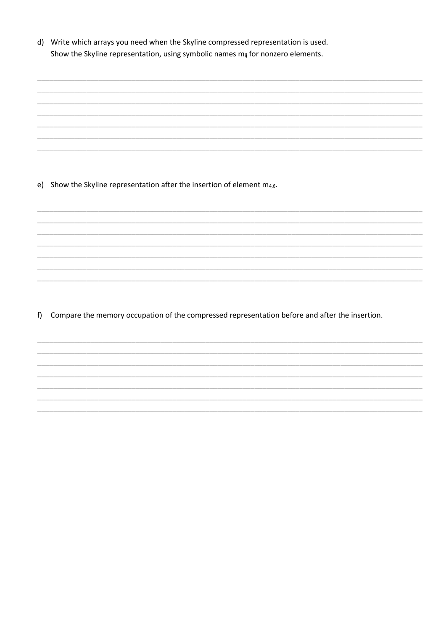d) Write which arrays you need when the Skyline compressed representation is used. Show the Skyline representation, using symbolic names  $m_{ij}$  for nonzero elements.

e) Show the Skyline representation after the insertion of element  $m_{4,6}$ .

f) Compare the memory occupation of the compressed representation before and after the insertion.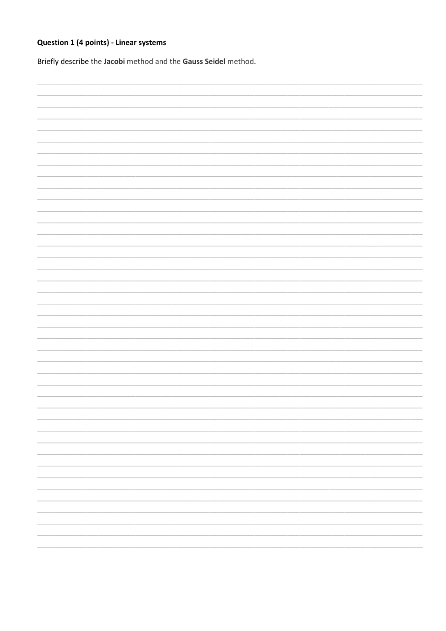## Question 1 (4 points) - Linear systems

Briefly describe the Jacobi method and the Gauss Seidel method.

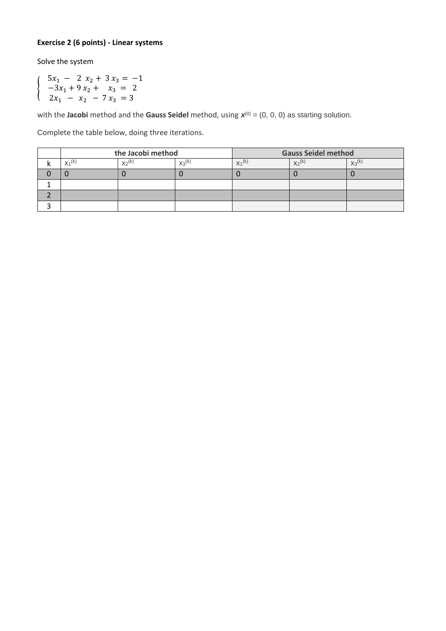### **Exercise 2 (6 points) - Linear systems**

Solve the system

{

$$
5x1 - 2 x2 + 3 x3 = -1 \n-3x1 + 9 x2 + x3 = 2 \n2x1 - x2 - 7 x3 = 3
$$

with the Jacobi method and the Gauss Seidel method, using  $\boldsymbol{x}^{(0)} = (0, 0, 0)$  as starting solution.

Complete the table below, doing three iterations.

| the Jacobi method |             |             | <b>Gauss Seidel method</b> |          |             |  |
|-------------------|-------------|-------------|----------------------------|----------|-------------|--|
| $X_1^{(k)}$       | $X_2^{(k)}$ | $X_3^{(k)}$ | $X_1^{(k)}$                | $X_2(k)$ | $X_3^{(k)}$ |  |
|                   |             |             |                            |          |             |  |
|                   |             |             |                            |          |             |  |
|                   |             |             |                            |          |             |  |
|                   |             |             |                            |          |             |  |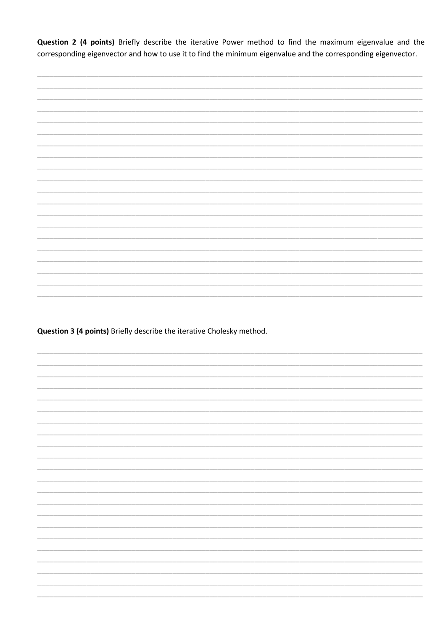Question 2 (4 points) Briefly describe the iterative Power method to find the maximum eigenvalue and the corresponding eigenvector and how to use it to find the minimum eigenvalue and the corresponding eigenvector.



Question 3 (4 points) Briefly describe the iterative Cholesky method.

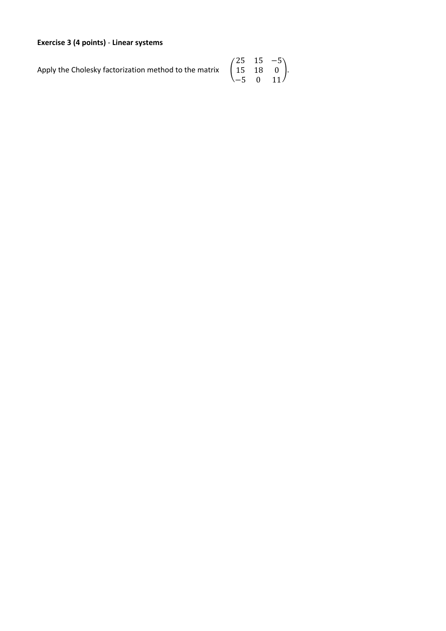## **Exercise 3 (4 points)** - **Linear systems**

Apply the Cholesky factorization method to the matrix (

$$
\begin{pmatrix}\n25 & 15 & -5 \\
15 & 18 & 0 \\
-5 & 0 & 11\n\end{pmatrix}.
$$